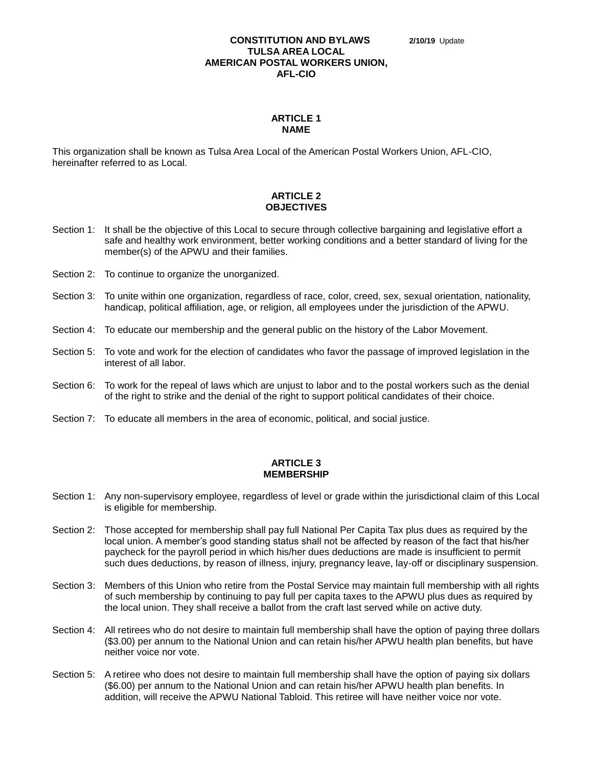### **CONSTITUTION AND BYLAWS** 2/10/19 Update **TULSA AREA LOCAL AMERICAN POSTAL WORKERS UNION, AFL-CIO**

## **ARTICLE 1 NAME**

This organization shall be known as Tulsa Area Local of the American Postal Workers Union, AFL-CIO, hereinafter referred to as Local.

## **ARTICLE 2 OBJECTIVES**

- Section 1: It shall be the objective of this Local to secure through collective bargaining and legislative effort a safe and healthy work environment, better working conditions and a better standard of living for the member(s) of the APWU and their families.
- Section 2: To continue to organize the unorganized.
- Section 3: To unite within one organization, regardless of race, color, creed, sex, sexual orientation, nationality, handicap, political affiliation, age, or religion, all employees under the jurisdiction of the APWU.
- Section 4: To educate our membership and the general public on the history of the Labor Movement.
- Section 5: To vote and work for the election of candidates who favor the passage of improved legislation in the interest of all labor.
- Section 6: To work for the repeal of laws which are unjust to labor and to the postal workers such as the denial of the right to strike and the denial of the right to support political candidates of their choice.
- Section 7: To educate all members in the area of economic, political, and social justice.

#### **ARTICLE 3 MEMBERSHIP**

- Section 1: Any non-supervisory employee, regardless of level or grade within the jurisdictional claim of this Local is eligible for membership.
- Section 2: Those accepted for membership shall pay full National Per Capita Tax plus dues as required by the local union. A member's good standing status shall not be affected by reason of the fact that his/her paycheck for the payroll period in which his/her dues deductions are made is insufficient to permit such dues deductions, by reason of illness, injury, pregnancy leave, lay-off or disciplinary suspension.
- Section 3: Members of this Union who retire from the Postal Service may maintain full membership with all rights of such membership by continuing to pay full per capita taxes to the APWU plus dues as required by the local union. They shall receive a ballot from the craft last served while on active duty.
- Section 4: All retirees who do not desire to maintain full membership shall have the option of paying three dollars (\$3.00) per annum to the National Union and can retain his/her APWU health plan benefits, but have neither voice nor vote.
- Section 5: A retiree who does not desire to maintain full membership shall have the option of paying six dollars (\$6.00) per annum to the National Union and can retain his/her APWU health plan benefits. In addition, will receive the APWU National Tabloid. This retiree will have neither voice nor vote.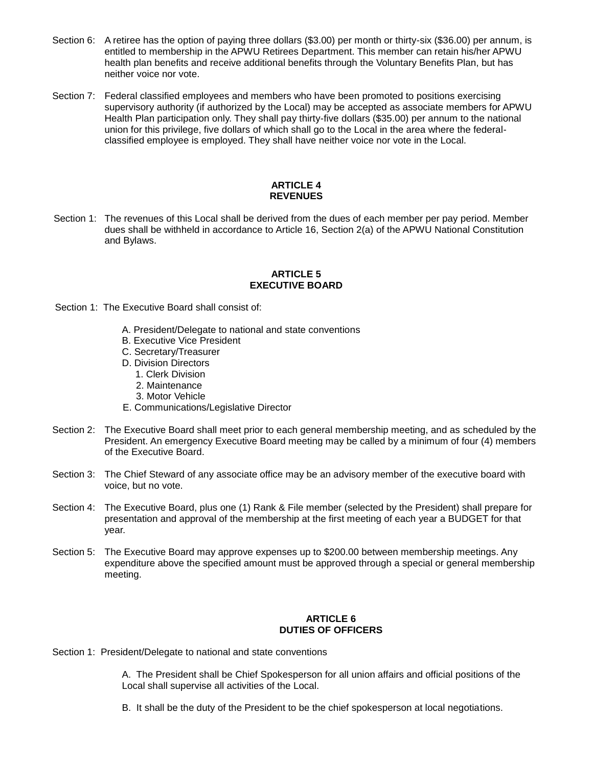- Section 6: A retiree has the option of paying three dollars (\$3.00) per month or thirty-six (\$36.00) per annum, is entitled to membership in the APWU Retirees Department. This member can retain his/her APWU health plan benefits and receive additional benefits through the Voluntary Benefits Plan, but has neither voice nor vote.
- Section 7: Federal classified employees and members who have been promoted to positions exercising supervisory authority (if authorized by the Local) may be accepted as associate members for APWU Health Plan participation only. They shall pay thirty-five dollars (\$35.00) per annum to the national union for this privilege, five dollars of which shall go to the Local in the area where the federalclassified employee is employed. They shall have neither voice nor vote in the Local.

## **ARTICLE 4 REVENUES**

 Section 1: The revenues of this Local shall be derived from the dues of each member per pay period. Member dues shall be withheld in accordance to Article 16, Section 2(a) of the APWU National Constitution and Bylaws.

## **ARTICLE 5 EXECUTIVE BOARD**

- Section 1: The Executive Board shall consist of:
	- A. President/Delegate to national and state conventions
	- B. Executive Vice President
	- C. Secretary/Treasurer
	- D. Division Directors
		- 1. Clerk Division
		- 2. Maintenance
		- 3. Motor Vehicle
	- E. Communications/Legislative Director
- Section 2: The Executive Board shall meet prior to each general membership meeting, and as scheduled by the President. An emergency Executive Board meeting may be called by a minimum of four (4) members of the Executive Board.
- Section 3: The Chief Steward of any associate office may be an advisory member of the executive board with voice, but no vote.
- Section 4: The Executive Board, plus one (1) Rank & File member (selected by the President) shall prepare for presentation and approval of the membership at the first meeting of each year a BUDGET for that year.
- Section 5: The Executive Board may approve expenses up to \$200.00 between membership meetings. Any expenditure above the specified amount must be approved through a special or general membership meeting.

## **ARTICLE 6 DUTIES OF OFFICERS**

Section 1: President/Delegate to national and state conventions

A. The President shall be Chief Spokesperson for all union affairs and official positions of the Local shall supervise all activities of the Local.

B. It shall be the duty of the President to be the chief spokesperson at local negotiations.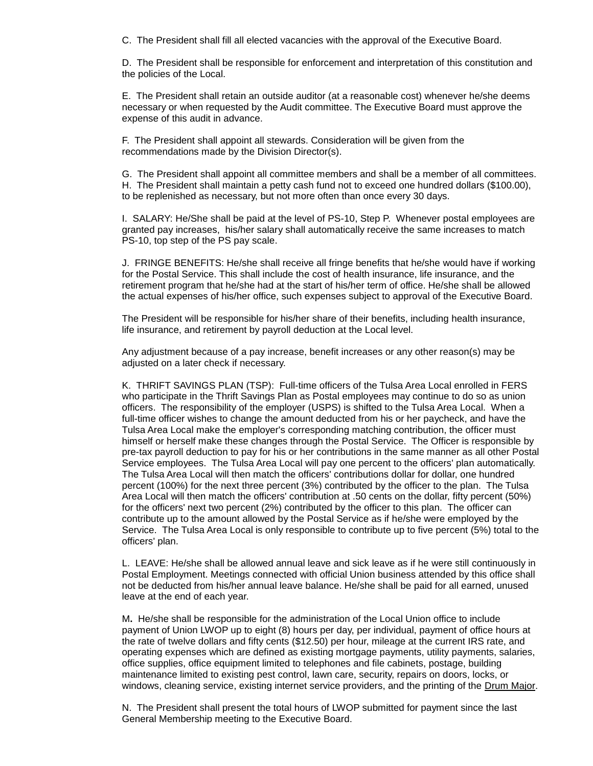C. The President shall fill all elected vacancies with the approval of the Executive Board.

D. The President shall be responsible for enforcement and interpretation of this constitution and the policies of the Local.

E. The President shall retain an outside auditor (at a reasonable cost) whenever he/she deems necessary or when requested by the Audit committee. The Executive Board must approve the expense of this audit in advance.

F. The President shall appoint all stewards. Consideration will be given from the recommendations made by the Division Director(s).

G. The President shall appoint all committee members and shall be a member of all committees. H. The President shall maintain a petty cash fund not to exceed one hundred dollars (\$100.00), to be replenished as necessary, but not more often than once every 30 days.

I. SALARY: He/She shall be paid at the level of PS-10, Step P. Whenever postal employees are granted pay increases, his/her salary shall automatically receive the same increases to match PS-10, top step of the PS pay scale.

J. FRINGE BENEFITS: He/she shall receive all fringe benefits that he/she would have if working for the Postal Service. This shall include the cost of health insurance, life insurance, and the retirement program that he/she had at the start of his/her term of office. He/she shall be allowed the actual expenses of his/her office, such expenses subject to approval of the Executive Board.

The President will be responsible for his/her share of their benefits, including health insurance, life insurance, and retirement by payroll deduction at the Local level.

Any adjustment because of a pay increase, benefit increases or any other reason(s) may be adjusted on a later check if necessary.

K. THRIFT SAVINGS PLAN (TSP): Full-time officers of the Tulsa Area Local enrolled in FERS who participate in the Thrift Savings Plan as Postal employees may continue to do so as union officers. The responsibility of the employer (USPS) is shifted to the Tulsa Area Local. When a full-time officer wishes to change the amount deducted from his or her paycheck, and have the Tulsa Area Local make the employer's corresponding matching contribution, the officer must himself or herself make these changes through the Postal Service. The Officer is responsible by pre-tax payroll deduction to pay for his or her contributions in the same manner as all other Postal Service employees. The Tulsa Area Local will pay one percent to the officers' plan automatically. The Tulsa Area Local will then match the officers' contributions dollar for dollar, one hundred percent (100%) for the next three percent (3%) contributed by the officer to the plan. The Tulsa Area Local will then match the officers' contribution at .50 cents on the dollar, fifty percent (50%) for the officers' next two percent (2%) contributed by the officer to this plan. The officer can contribute up to the amount allowed by the Postal Service as if he/she were employed by the Service. The Tulsa Area Local is only responsible to contribute up to five percent (5%) total to the officers' plan.

L. LEAVE: He/she shall be allowed annual leave and sick leave as if he were still continuously in Postal Employment. Meetings connected with official Union business attended by this office shall not be deducted from his/her annual leave balance. He/she shall be paid for all earned, unused leave at the end of each year.

M**.** He/she shall be responsible for the administration of the Local Union office to include payment of Union LWOP up to eight (8) hours per day, per individual, payment of office hours at the rate of twelve dollars and fifty cents (\$12.50) per hour, mileage at the current IRS rate, and operating expenses which are defined as existing mortgage payments, utility payments, salaries, office supplies, office equipment limited to telephones and file cabinets, postage, building maintenance limited to existing pest control, lawn care, security, repairs on doors, locks, or windows, cleaning service, existing internet service providers, and the printing of the Drum Major.

N. The President shall present the total hours of LWOP submitted for payment since the last General Membership meeting to the Executive Board.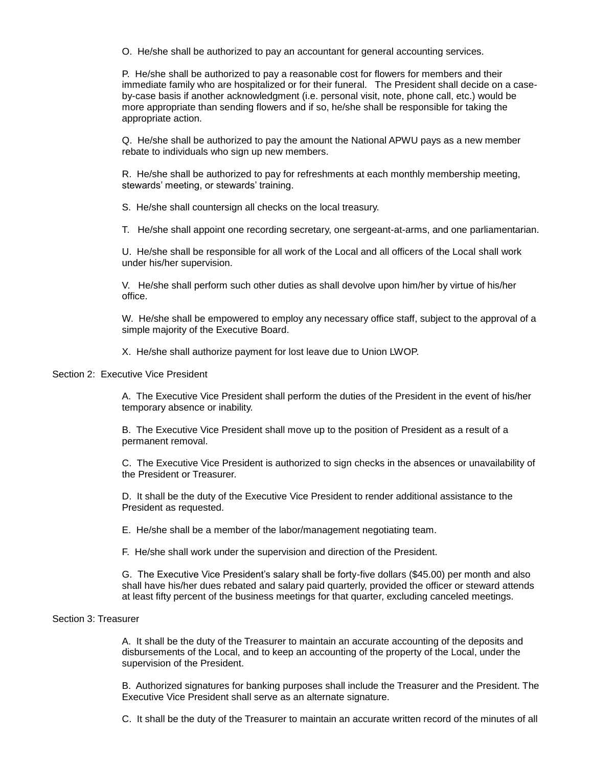O. He/she shall be authorized to pay an accountant for general accounting services.

P. He/she shall be authorized to pay a reasonable cost for flowers for members and their immediate family who are hospitalized or for their funeral. The President shall decide on a caseby-case basis if another acknowledgment (i.e. personal visit, note, phone call, etc.) would be more appropriate than sending flowers and if so, he/she shall be responsible for taking the appropriate action.

Q. He/she shall be authorized to pay the amount the National APWU pays as a new member rebate to individuals who sign up new members.

R. He/she shall be authorized to pay for refreshments at each monthly membership meeting, stewards' meeting, or stewards' training.

S. He/she shall countersign all checks on the local treasury.

T. He/she shall appoint one recording secretary, one sergeant-at-arms, and one parliamentarian.

U. He/she shall be responsible for all work of the Local and all officers of the Local shall work under his/her supervision.

V. He/she shall perform such other duties as shall devolve upon him/her by virtue of his/her office.

W. He/she shall be empowered to employ any necessary office staff, subject to the approval of a simple majority of the Executive Board.

X. He/she shall authorize payment for lost leave due to Union LWOP.

# Section 2: Executive Vice President

A. The Executive Vice President shall perform the duties of the President in the event of his/her temporary absence or inability.

B. The Executive Vice President shall move up to the position of President as a result of a permanent removal.

C. The Executive Vice President is authorized to sign checks in the absences or unavailability of the President or Treasurer.

D. It shall be the duty of the Executive Vice President to render additional assistance to the President as requested.

E. He/she shall be a member of the labor/management negotiating team.

F. He/she shall work under the supervision and direction of the President.

G. The Executive Vice President's salary shall be forty-five dollars (\$45.00) per month and also shall have his/her dues rebated and salary paid quarterly, provided the officer or steward attends at least fifty percent of the business meetings for that quarter, excluding canceled meetings.

## Section 3: Treasurer

A. It shall be the duty of the Treasurer to maintain an accurate accounting of the deposits and disbursements of the Local, and to keep an accounting of the property of the Local, under the supervision of the President.

B. Authorized signatures for banking purposes shall include the Treasurer and the President. The Executive Vice President shall serve as an alternate signature.

C. It shall be the duty of the Treasurer to maintain an accurate written record of the minutes of all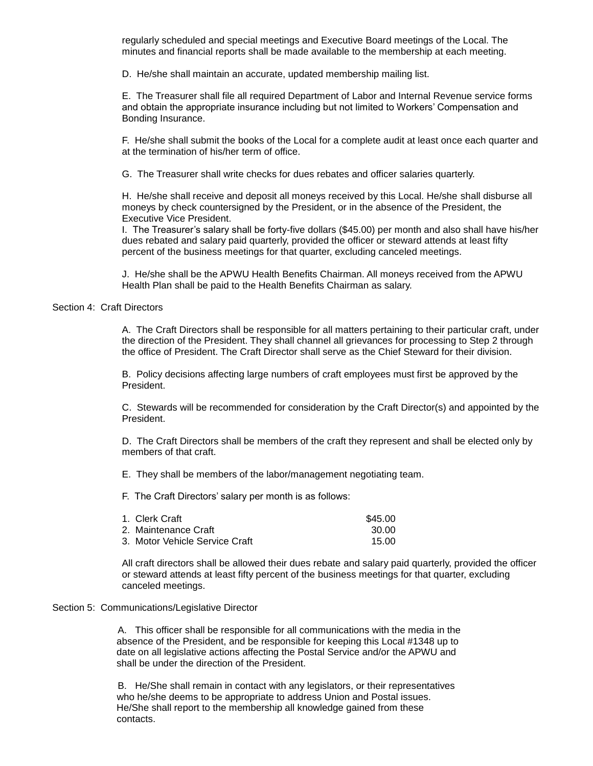regularly scheduled and special meetings and Executive Board meetings of the Local. The minutes and financial reports shall be made available to the membership at each meeting.

D. He/she shall maintain an accurate, updated membership mailing list.

E. The Treasurer shall file all required Department of Labor and Internal Revenue service forms and obtain the appropriate insurance including but not limited to Workers' Compensation and Bonding Insurance.

F. He/she shall submit the books of the Local for a complete audit at least once each quarter and at the termination of his/her term of office.

G. The Treasurer shall write checks for dues rebates and officer salaries quarterly.

H. He/she shall receive and deposit all moneys received by this Local. He/she shall disburse all moneys by check countersigned by the President, or in the absence of the President, the Executive Vice President.

I. The Treasurer's salary shall be forty-five dollars (\$45.00) per month and also shall have his/her dues rebated and salary paid quarterly, provided the officer or steward attends at least fifty percent of the business meetings for that quarter, excluding canceled meetings.

J. He/she shall be the APWU Health Benefits Chairman. All moneys received from the APWU Health Plan shall be paid to the Health Benefits Chairman as salary.

#### Section 4: Craft Directors

A. The Craft Directors shall be responsible for all matters pertaining to their particular craft, under the direction of the President. They shall channel all grievances for processing to Step 2 through the office of President. The Craft Director shall serve as the Chief Steward for their division.

B. Policy decisions affecting large numbers of craft employees must first be approved by the President.

C. Stewards will be recommended for consideration by the Craft Director(s) and appointed by the President.

D. The Craft Directors shall be members of the craft they represent and shall be elected only by members of that craft.

E. They shall be members of the labor/management negotiating team.

F. The Craft Directors' salary per month is as follows:

| 1. Clerk Craft                 | \$45.00 |
|--------------------------------|---------|
| 2. Maintenance Craft           | 30.00   |
| 3. Motor Vehicle Service Craft | 15.00   |

All craft directors shall be allowed their dues rebate and salary paid quarterly, provided the officer or steward attends at least fifty percent of the business meetings for that quarter, excluding canceled meetings.

#### Section 5: Communications/Legislative Director

A. This officer shall be responsible for all communications with the media in the absence of the President, and be responsible for keeping this Local #1348 up to date on all legislative actions affecting the Postal Service and/or the APWU and shall be under the direction of the President.

B. He/She shall remain in contact with any legislators, or their representatives who he/she deems to be appropriate to address Union and Postal issues. He/She shall report to the membership all knowledge gained from these contacts.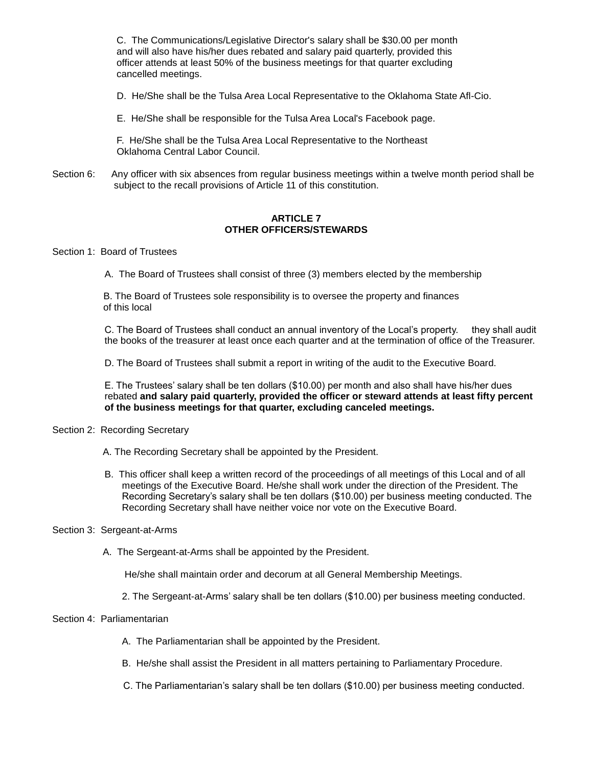C. The Communications/Legislative Director's salary shall be \$30.00 per month and will also have his/her dues rebated and salary paid quarterly, provided this officer attends at least 50% of the business meetings for that quarter excluding cancelled meetings.

D. He/She shall be the Tulsa Area Local Representative to the Oklahoma State Afl-Cio.

E. He/She shall be responsible for the Tulsa Area Local's Facebook page.

 F. He/She shall be the Tulsa Area Local Representative to the Northeast Oklahoma Central Labor Council.

Section 6:Any officer with six absences from regular business meetings within a twelve month period shall be subject to the recall provisions of Article 11 of this constitution.

## **ARTICLE 7 OTHER OFFICERS/STEWARDS**

## Section 1: Board of Trustees

A. The Board of Trustees shall consist of three (3) members elected by the membership

 B. The Board of Trustees sole responsibility is to oversee the property and finances of this local

C. The Board of Trustees shall conduct an annual inventory of the Local's property. they shall audit the books of the treasurer at least once each quarter and at the termination of office of the Treasurer.

D. The Board of Trustees shall submit a report in writing of the audit to the Executive Board.

E. The Trustees' salary shall be ten dollars (\$10.00) per month and also shall have his/her dues rebated **and salary paid quarterly, provided the officer or steward attends at least fifty percent of the business meetings for that quarter, excluding canceled meetings.**

#### Section 2: Recording Secretary

- A. The Recording Secretary shall be appointed by the President.
- B. This officer shall keep a written record of the proceedings of all meetings of this Local and of all meetings of the Executive Board. He/she shall work under the direction of the President. The Recording Secretary's salary shall be ten dollars (\$10.00) per business meeting conducted. The Recording Secretary shall have neither voice nor vote on the Executive Board.

#### Section 3: Sergeant-at-Arms

A. The Sergeant-at-Arms shall be appointed by the President.

He/she shall maintain order and decorum at all General Membership Meetings.

2. The Sergeant-at-Arms' salary shall be ten dollars (\$10.00) per business meeting conducted.

## Section 4: Parliamentarian

- A. The Parliamentarian shall be appointed by the President.
- B. He/she shall assist the President in all matters pertaining to Parliamentary Procedure.
- C. The Parliamentarian's salary shall be ten dollars (\$10.00) per business meeting conducted.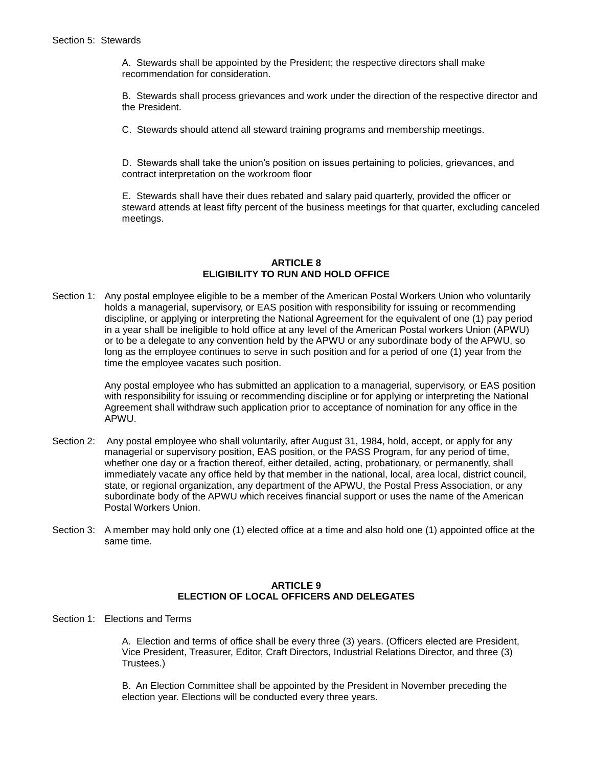A. Stewards shall be appointed by the President; the respective directors shall make recommendation for consideration.

B. Stewards shall process grievances and work under the direction of the respective director and the President.

C. Stewards should attend all steward training programs and membership meetings.

D. Stewards shall take the union's position on issues pertaining to policies, grievances, and contract interpretation on the workroom floor

E. Stewards shall have their dues rebated and salary paid quarterly, provided the officer or steward attends at least fifty percent of the business meetings for that quarter, excluding canceled meetings.

## **ARTICLE 8 ELIGIBILITY TO RUN AND HOLD OFFICE**

Section 1: Any postal employee eligible to be a member of the American Postal Workers Union who voluntarily holds a managerial, supervisory, or EAS position with responsibility for issuing or recommending discipline, or applying or interpreting the National Agreement for the equivalent of one (1) pay period in a year shall be ineligible to hold office at any level of the American Postal workers Union (APWU) or to be a delegate to any convention held by the APWU or any subordinate body of the APWU, so long as the employee continues to serve in such position and for a period of one (1) year from the time the employee vacates such position.

> Any postal employee who has submitted an application to a managerial, supervisory, or EAS position with responsibility for issuing or recommending discipline or for applying or interpreting the National Agreement shall withdraw such application prior to acceptance of nomination for any office in the APWU.

- Section 2: Any postal employee who shall voluntarily, after August 31, 1984, hold, accept, or apply for any managerial or supervisory position, EAS position, or the PASS Program, for any period of time, whether one day or a fraction thereof, either detailed, acting, probationary, or permanently, shall immediately vacate any office held by that member in the national, local, area local, district council, state, or regional organization, any department of the APWU, the Postal Press Association, or any subordinate body of the APWU which receives financial support or uses the name of the American Postal Workers Union.
- Section 3: A member may hold only one (1) elected office at a time and also hold one (1) appointed office at the same time.

## **ARTICLE 9 ELECTION OF LOCAL OFFICERS AND DELEGATES**

Section 1: Elections and Terms

A. Election and terms of office shall be every three (3) years. (Officers elected are President, Vice President, Treasurer, Editor, Craft Directors, Industrial Relations Director, and three (3) Trustees.)

B. An Election Committee shall be appointed by the President in November preceding the election year. Elections will be conducted every three years.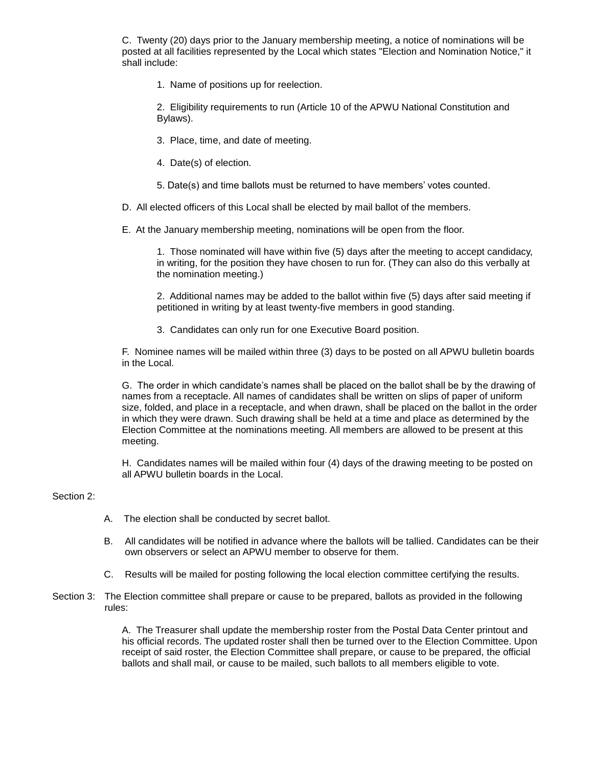C. Twenty (20) days prior to the January membership meeting, a notice of nominations will be posted at all facilities represented by the Local which states "Election and Nomination Notice," it shall include:

1. Name of positions up for reelection.

2. Eligibility requirements to run (Article 10 of the APWU National Constitution and Bylaws).

- 3. Place, time, and date of meeting.
- 4. Date(s) of election.
- 5. Date(s) and time ballots must be returned to have members' votes counted.
- D. All elected officers of this Local shall be elected by mail ballot of the members.
- E. At the January membership meeting, nominations will be open from the floor.

1. Those nominated will have within five (5) days after the meeting to accept candidacy, in writing, for the position they have chosen to run for. (They can also do this verbally at the nomination meeting.)

2. Additional names may be added to the ballot within five (5) days after said meeting if petitioned in writing by at least twenty-five members in good standing.

3. Candidates can only run for one Executive Board position.

F. Nominee names will be mailed within three (3) days to be posted on all APWU bulletin boards in the Local.

G. The order in which candidate's names shall be placed on the ballot shall be by the drawing of names from a receptacle. All names of candidates shall be written on slips of paper of uniform size, folded, and place in a receptacle, and when drawn, shall be placed on the ballot in the order in which they were drawn. Such drawing shall be held at a time and place as determined by the Election Committee at the nominations meeting. All members are allowed to be present at this meeting.

H. Candidates names will be mailed within four (4) days of the drawing meeting to be posted on all APWU bulletin boards in the Local.

## Section 2:

- A. The election shall be conducted by secret ballot.
- B. All candidates will be notified in advance where the ballots will be tallied. Candidates can be their own observers or select an APWU member to observe for them.
- C. Results will be mailed for posting following the local election committee certifying the results.
- Section 3: The Election committee shall prepare or cause to be prepared, ballots as provided in the following rules:

A. The Treasurer shall update the membership roster from the Postal Data Center printout and his official records. The updated roster shall then be turned over to the Election Committee. Upon receipt of said roster, the Election Committee shall prepare, or cause to be prepared, the official ballots and shall mail, or cause to be mailed, such ballots to all members eligible to vote.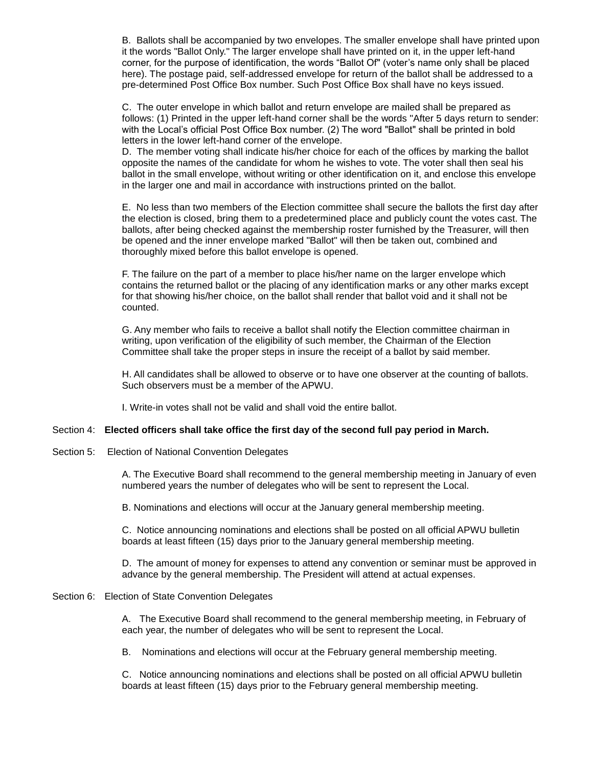B. Ballots shall be accompanied by two envelopes. The smaller envelope shall have printed upon it the words "Ballot Only." The larger envelope shall have printed on it, in the upper left-hand corner, for the purpose of identification, the words "Ballot Of" (voter's name only shall be placed here). The postage paid, self-addressed envelope for return of the ballot shall be addressed to a pre-determined Post Office Box number. Such Post Office Box shall have no keys issued.

C. The outer envelope in which ballot and return envelope are mailed shall be prepared as follows: (1) Printed in the upper left-hand corner shall be the words "After 5 days return to sender: with the Local's official Post Office Box number. (2) The word "Ballot" shall be printed in bold letters in the lower left-hand corner of the envelope.

D. The member voting shall indicate his/her choice for each of the offices by marking the ballot opposite the names of the candidate for whom he wishes to vote. The voter shall then seal his ballot in the small envelope, without writing or other identification on it, and enclose this envelope in the larger one and mail in accordance with instructions printed on the ballot.

E. No less than two members of the Election committee shall secure the ballots the first day after the election is closed, bring them to a predetermined place and publicly count the votes cast. The ballots, after being checked against the membership roster furnished by the Treasurer, will then be opened and the inner envelope marked "Ballot" will then be taken out, combined and thoroughly mixed before this ballot envelope is opened.

F. The failure on the part of a member to place his/her name on the larger envelope which contains the returned ballot or the placing of any identification marks or any other marks except for that showing his/her choice, on the ballot shall render that ballot void and it shall not be counted.

G. Any member who fails to receive a ballot shall notify the Election committee chairman in writing, upon verification of the eligibility of such member, the Chairman of the Election Committee shall take the proper steps in insure the receipt of a ballot by said member.

H. All candidates shall be allowed to observe or to have one observer at the counting of ballots. Such observers must be a member of the APWU.

I. Write-in votes shall not be valid and shall void the entire ballot.

## Section 4: **Elected officers shall take office the first day of the second full pay period in March.**

Section 5: Election of National Convention Delegates

A. The Executive Board shall recommend to the general membership meeting in January of even numbered years the number of delegates who will be sent to represent the Local.

B. Nominations and elections will occur at the January general membership meeting.

C. Notice announcing nominations and elections shall be posted on all official APWU bulletin boards at least fifteen (15) days prior to the January general membership meeting.

D. The amount of money for expenses to attend any convention or seminar must be approved in advance by the general membership. The President will attend at actual expenses.

#### Section 6: Election of State Convention Delegates

A. The Executive Board shall recommend to the general membership meeting, in February of each year, the number of delegates who will be sent to represent the Local.

B. Nominations and elections will occur at the February general membership meeting.

C. Notice announcing nominations and elections shall be posted on all official APWU bulletin boards at least fifteen (15) days prior to the February general membership meeting.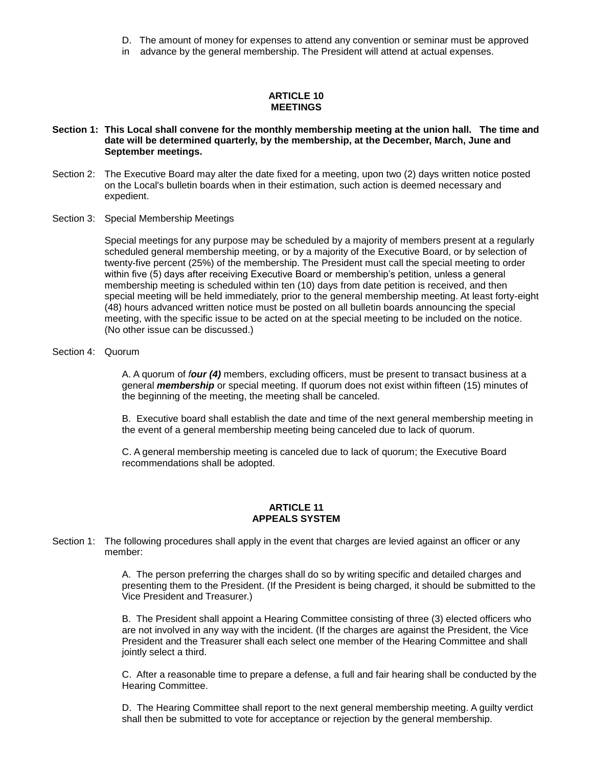- D. The amount of money for expenses to attend any convention or seminar must be approved
- in advance by the general membership. The President will attend at actual expenses.

### **ARTICLE 10 MEETINGS**

- **Section 1: This Local shall convene for the monthly membership meeting at the union hall. The time and date will be determined quarterly, by the membership, at the December, March, June and September meetings.**
- Section 2: The Executive Board may alter the date fixed for a meeting, upon two (2) days written notice posted on the Local's bulletin boards when in their estimation, such action is deemed necessary and expedient.
- Section 3: Special Membership Meetings

Special meetings for any purpose may be scheduled by a majority of members present at a regularly scheduled general membership meeting, or by a majority of the Executive Board, or by selection of twenty-five percent (25%) of the membership. The President must call the special meeting to order within five (5) days after receiving Executive Board or membership's petition, unless a general membership meeting is scheduled within ten (10) days from date petition is received, and then special meeting will be held immediately, prior to the general membership meeting. At least forty-eight (48) hours advanced written notice must be posted on all bulletin boards announcing the special meeting, with the specific issue to be acted on at the special meeting to be included on the notice. (No other issue can be discussed.)

Section 4: Quorum

A. A quorum of *four (4)* members, excluding officers, must be present to transact business at a general *membership* or special meeting. If quorum does not exist within fifteen (15) minutes of the beginning of the meeting, the meeting shall be canceled.

B. Executive board shall establish the date and time of the next general membership meeting in the event of a general membership meeting being canceled due to lack of quorum.

C. A general membership meeting is canceled due to lack of quorum; the Executive Board recommendations shall be adopted.

## **ARTICLE 11 APPEALS SYSTEM**

Section 1: The following procedures shall apply in the event that charges are levied against an officer or any member:

> A. The person preferring the charges shall do so by writing specific and detailed charges and presenting them to the President. (If the President is being charged, it should be submitted to the Vice President and Treasurer.)

B. The President shall appoint a Hearing Committee consisting of three (3) elected officers who are not involved in any way with the incident. (If the charges are against the President, the Vice President and the Treasurer shall each select one member of the Hearing Committee and shall jointly select a third.

C. After a reasonable time to prepare a defense, a full and fair hearing shall be conducted by the Hearing Committee.

D. The Hearing Committee shall report to the next general membership meeting. A guilty verdict shall then be submitted to vote for acceptance or rejection by the general membership.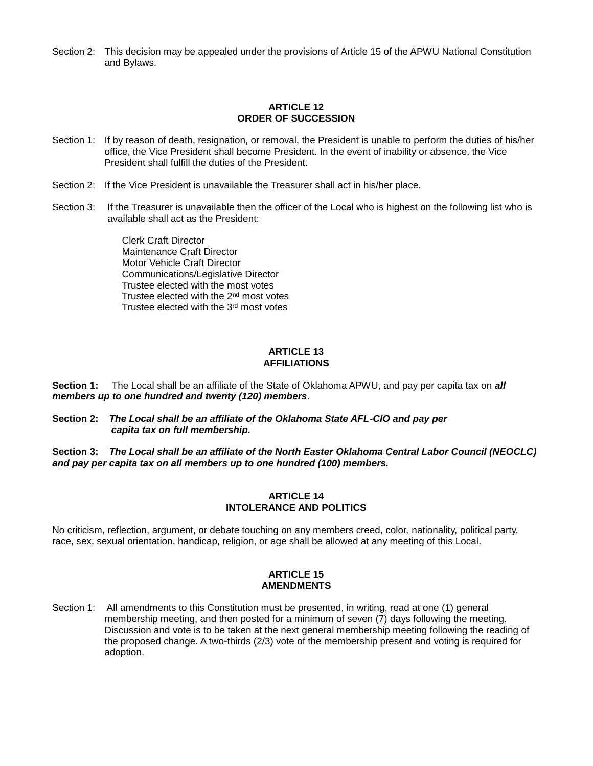Section 2: This decision may be appealed under the provisions of Article 15 of the APWU National Constitution and Bylaws.

#### **ARTICLE 12 ORDER OF SUCCESSION**

- Section 1: If by reason of death, resignation, or removal, the President is unable to perform the duties of his/her office, the Vice President shall become President. In the event of inability or absence, the Vice President shall fulfill the duties of the President.
- Section 2: If the Vice President is unavailable the Treasurer shall act in his/her place.
- Section 3: If the Treasurer is unavailable then the officer of the Local who is highest on the following list who is available shall act as the President:

Clerk Craft Director Maintenance Craft Director Motor Vehicle Craft Director Communications/Legislative Director Trustee elected with the most votes Trustee elected with the 2<sup>nd</sup> most votes Trustee elected with the 3rd most votes

#### **ARTICLE 13 AFFILIATIONS**

**Section 1:** The Local shall be an affiliate of the State of Oklahoma APWU, and pay per capita tax on *all members up to one hundred and twenty (120) members*.

**Section 2:** *The Local shall be an affiliate of the Oklahoma State AFL-CIO and pay per capita tax on full membership.*

**Section 3:** *The Local shall be an affiliate of the North Easter Oklahoma Central Labor Council (NEOCLC) and pay per capita tax on all members up to one hundred (100) members.*

## **ARTICLE 14 INTOLERANCE AND POLITICS**

No criticism, reflection, argument, or debate touching on any members creed, color, nationality, political party, race, sex, sexual orientation, handicap, religion, or age shall be allowed at any meeting of this Local.

# **ARTICLE 15 AMENDMENTS**

Section 1: All amendments to this Constitution must be presented, in writing, read at one (1) general membership meeting, and then posted for a minimum of seven (7) days following the meeting. Discussion and vote is to be taken at the next general membership meeting following the reading of the proposed change. A two-thirds (2/3) vote of the membership present and voting is required for adoption.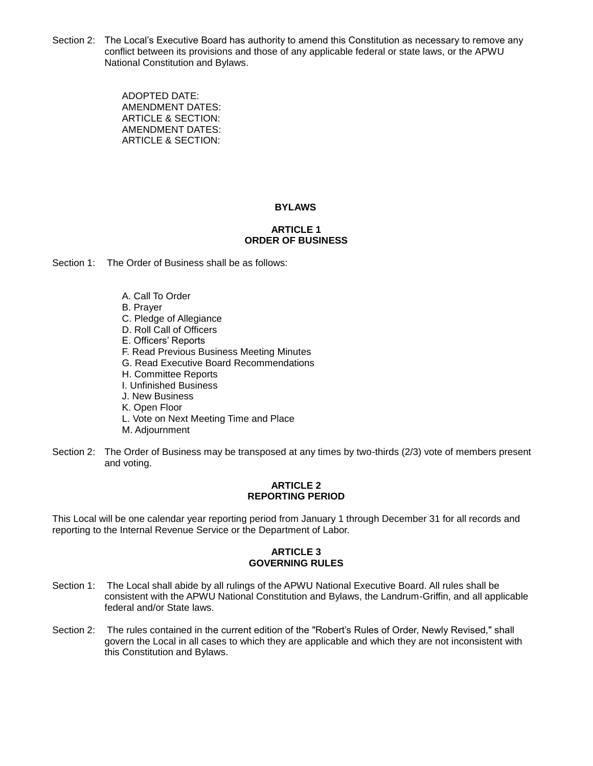Section 2: The Local's Executive Board has authority to amend this Constitution as necessary to remove any conflict between its provisions and those of any applicable federal or state laws, or the APWU National Constitution and Bylaws.

> ADOPTED DATE: AMENDMENT DATES: ARTICLE & SECTION: AMENDMENT DATES: ARTICLE & SECTION:

# **BYLAWS**

# **ARTICLE 1 ORDER OF BUSINESS**

Section 1: The Order of Business shall be as follows:

- A. Call To Order
- B. Prayer
- C. Pledge of Allegiance
- D. Roll Call of Officers
- E. Officers' Reports
- F. Read Previous Business Meeting Minutes
- G. Read Executive Board Recommendations
- H. Committee Reports
- I. Unfinished Business
- J. New Business
- K. Open Floor
- L. Vote on Next Meeting Time and Place
- M. Adjournment
- Section 2: The Order of Business may be transposed at any times by two-thirds (2/3) vote of members present and voting.

## **ARTICLE 2 REPORTING PERIOD**

This Local will be one calendar year reporting period from January 1 through December 31 for all records and reporting to the Internal Revenue Service or the Department of Labor.

#### **ARTICLE 3 GOVERNING RULES**

- Section 1: The Local shall abide by all rulings of the APWU National Executive Board. All rules shall be consistent with the APWU National Constitution and Bylaws, the Landrum-Griffin, and all applicable federal and/or State laws.
- Section 2: The rules contained in the current edition of the "Robert's Rules of Order, Newly Revised," shall govern the Local in all cases to which they are applicable and which they are not inconsistent with this Constitution and Bylaws.